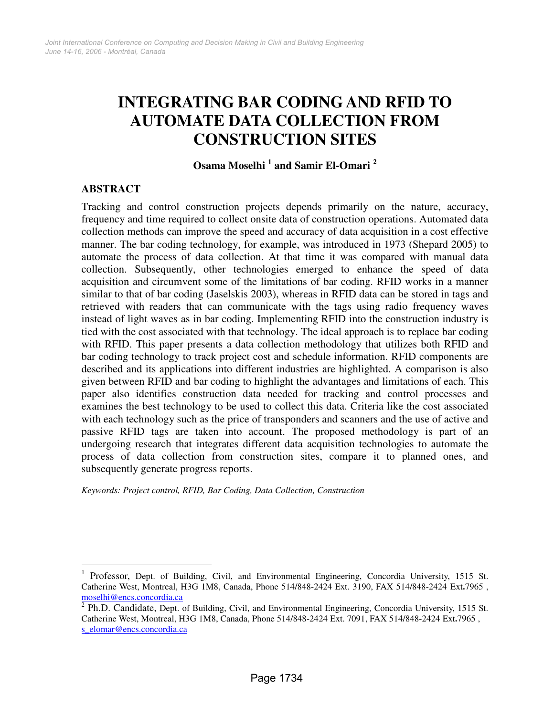# **INTEGRATING BAR CODING AND RFID TO AUTOMATE DATA COLLECTION FROM CONSTRUCTION SITES**

# **Osama Moselhi <sup>1</sup> and Samir El-Omari <sup>2</sup>**

## **ABSTRACT**

 $\overline{a}$ 

Tracking and control construction projects depends primarily on the nature, accuracy, frequency and time required to collect onsite data of construction operations. Automated data collection methods can improve the speed and accuracy of data acquisition in a cost effective manner. The bar coding technology, for example, was introduced in 1973 (Shepard 2005) to automate the process of data collection. At that time it was compared with manual data collection. Subsequently, other technologies emerged to enhance the speed of data acquisition and circumvent some of the limitations of bar coding. RFID works in a manner similar to that of bar coding (Jaselskis 2003), whereas in RFID data can be stored in tags and retrieved with readers that can communicate with the tags using radio frequency waves instead of light waves as in bar coding. Implementing RFID into the construction industry is tied with the cost associated with that technology. The ideal approach is to replace bar coding with RFID. This paper presents a data collection methodology that utilizes both RFID and bar coding technology to track project cost and schedule information. RFID components are described and its applications into different industries are highlighted. A comparison is also given between RFID and bar coding to highlight the advantages and limitations of each. This paper also identifies construction data needed for tracking and control processes and examines the best technology to be used to collect this data. Criteria like the cost associated with each technology such as the price of transponders and scanners and the use of active and passive RFID tags are taken into account. The proposed methodology is part of an undergoing research that integrates different data acquisition technologies to automate the process of data collection from construction sites, compare it to planned ones, and subsequently generate progress reports.

*Keywords: Project control, RFID, Bar Coding, Data Collection, Construction* 

<sup>1</sup> Professor, Dept. of Building, Civil, and Environmental Engineering, Concordia University, 1515 St. Catherine West, Montreal, H3G 1M8, Canada, Phone 514/848-2424 Ext. 3190, FAX 514/848-2424 Ext**.**7965 , moselhi@encs.concordia.ca

<sup>2</sup> Ph.D. Candidate, Dept. of Building, Civil, and Environmental Engineering, Concordia University, 1515 St. Catherine West, Montreal, H3G 1M8, Canada, Phone 514/848-2424 Ext. 7091, FAX 514/848-2424 Ext**.**7965 , s\_elomar@encs.concordia.ca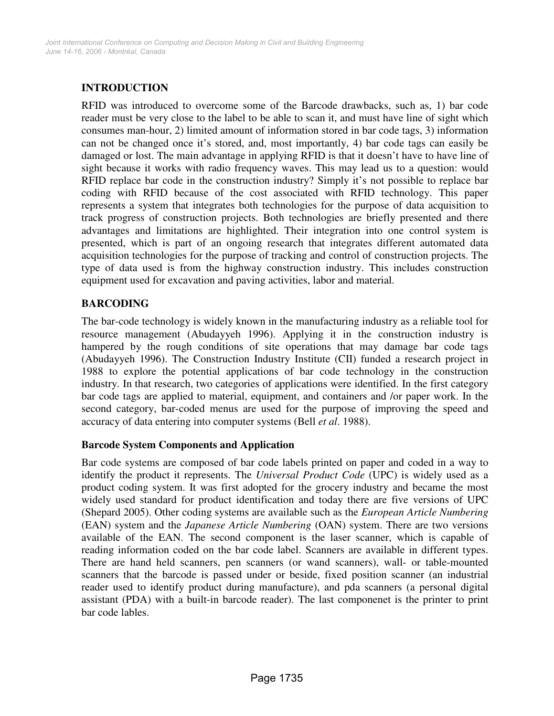# **INTRODUCTION**

RFID was introduced to overcome some of the Barcode drawbacks, such as, 1) bar code reader must be very close to the label to be able to scan it, and must have line of sight which consumes man-hour, 2) limited amount of information stored in bar code tags, 3) information can not be changed once it's stored, and, most importantly, 4) bar code tags can easily be damaged or lost. The main advantage in applying RFID is that it doesn't have to have line of sight because it works with radio frequency waves. This may lead us to a question: would RFID replace bar code in the construction industry? Simply it's not possible to replace bar coding with RFID because of the cost associated with RFID technology. This paper represents a system that integrates both technologies for the purpose of data acquisition to track progress of construction projects. Both technologies are briefly presented and there advantages and limitations are highlighted. Their integration into one control system is presented, which is part of an ongoing research that integrates different automated data acquisition technologies for the purpose of tracking and control of construction projects. The type of data used is from the highway construction industry. This includes construction equipment used for excavation and paving activities, labor and material.

## **BARCODING**

The bar-code technology is widely known in the manufacturing industry as a reliable tool for resource management (Abudayyeh 1996). Applying it in the construction industry is hampered by the rough conditions of site operations that may damage bar code tags (Abudayyeh 1996). The Construction Industry Institute (CII) funded a research project in 1988 to explore the potential applications of bar code technology in the construction industry. In that research, two categories of applications were identified. In the first category bar code tags are applied to material, equipment, and containers and /or paper work. In the second category, bar-coded menus are used for the purpose of improving the speed and accuracy of data entering into computer systems (Bell *et al*. 1988).

#### **Barcode System Components and Application**

Bar code systems are composed of bar code labels printed on paper and coded in a way to identify the product it represents. The *Universal Product Code* (UPC) is widely used as a product coding system. It was first adopted for the grocery industry and became the most widely used standard for product identification and today there are five versions of UPC (Shepard 2005). Other coding systems are available such as the *European Article Numbering* (EAN) system and the *Japanese Article Numbering* (OAN) system. There are two versions available of the EAN. The second component is the laser scanner, which is capable of reading information coded on the bar code label. Scanners are available in different types. There are hand held scanners, pen scanners (or wand scanners), wall- or table-mounted scanners that the barcode is passed under or beside, fixed position scanner (an industrial reader used to identify product during manufacture), and pda scanners (a personal digital assistant (PDA) with a built-in barcode reader). The last componenet is the printer to print bar code lables.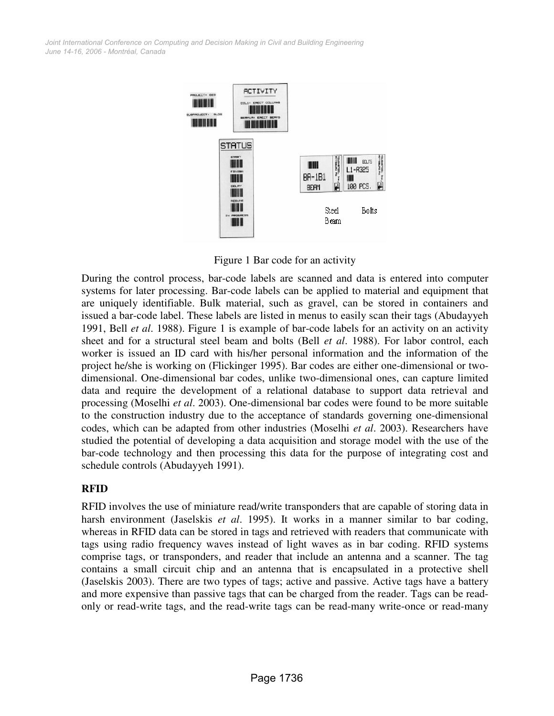*June 14-16, 2006 - Montréal, Canada Joint International Conference on Computing and Decision Making in Civil and Building Engineering*



Figure 1 Bar code for an activity

During the control process, bar-code labels are scanned and data is entered into computer systems for later processing. Bar-code labels can be applied to material and equipment that are uniquely identifiable. Bulk material, such as gravel, can be stored in containers and issued a bar-code label. These labels are listed in menus to easily scan their tags (Abudayyeh 1991, Bell *et al*. 1988). Figure 1 is example of bar-code labels for an activity on an activity sheet and for a structural steel beam and bolts (Bell *et al*. 1988). For labor control, each worker is issued an ID card with his/her personal information and the information of the project he/she is working on (Flickinger 1995). Bar codes are either one-dimensional or twodimensional. One-dimensional bar codes, unlike two-dimensional ones, can capture limited data and require the development of a relational database to support data retrieval and processing (Moselhi *et al*. 2003). One-dimensional bar codes were found to be more suitable to the construction industry due to the acceptance of standards governing one-dimensional codes, which can be adapted from other industries (Moselhi *et al*. 2003). Researchers have studied the potential of developing a data acquisition and storage model with the use of the bar-code technology and then processing this data for the purpose of integrating cost and schedule controls (Abudayyeh 1991).

#### **RFID**

RFID involves the use of miniature read/write transponders that are capable of storing data in harsh environment (Jaselskis *et al*. 1995). It works in a manner similar to bar coding, whereas in RFID data can be stored in tags and retrieved with readers that communicate with tags using radio frequency waves instead of light waves as in bar coding. RFID systems comprise tags, or transponders, and reader that include an antenna and a scanner. The tag contains a small circuit chip and an antenna that is encapsulated in a protective shell (Jaselskis 2003). There are two types of tags; active and passive. Active tags have a battery and more expensive than passive tags that can be charged from the reader. Tags can be readonly or read-write tags, and the read-write tags can be read-many write-once or read-many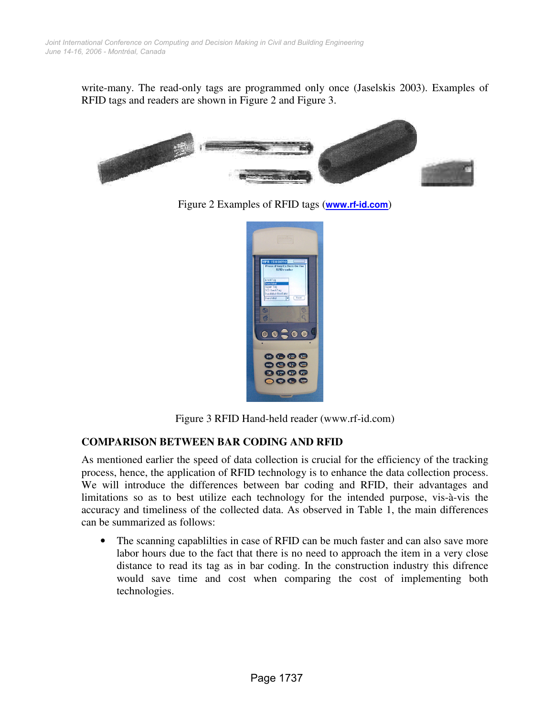write-many. The read-only tags are programmed only once (Jaselskis 2003). Examples of RFID tags and readers are shown in Figure 2 and Figure 3.



Figure 2 Examples of RFID tags (**www.rf-id.com**)



Figure 3 RFID Hand-held reader (www.rf-id.com)

#### **COMPARISON BETWEEN BAR CODING AND RFID**

As mentioned earlier the speed of data collection is crucial for the efficiency of the tracking process, hence, the application of RFID technology is to enhance the data collection process. We will introduce the differences between bar coding and RFID, their advantages and limitations so as to best utilize each technology for the intended purpose, vis-à-vis the accuracy and timeliness of the collected data. As observed in Table 1, the main differences can be summarized as follows:

The scanning capablilties in case of RFID can be much faster and can also save more labor hours due to the fact that there is no need to approach the item in a very close distance to read its tag as in bar coding. In the construction industry this difrence would save time and cost when comparing the cost of implementing both technologies.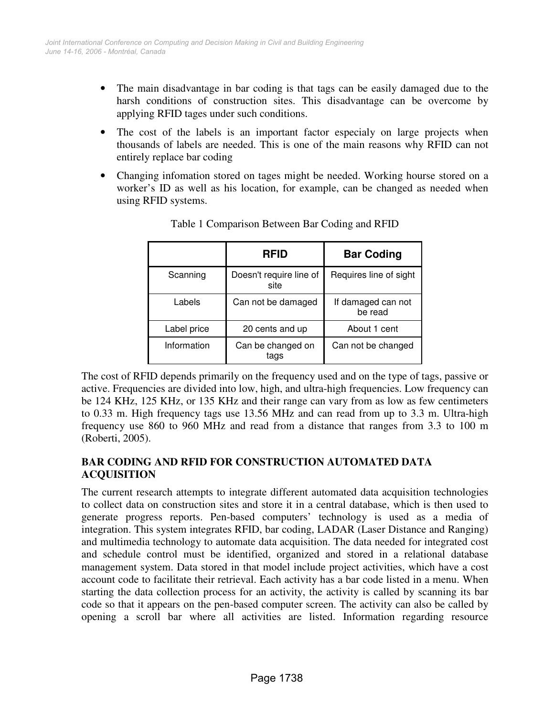- The main disadvantage in bar coding is that tags can be easily damaged due to the harsh conditions of construction sites. This disadvantage can be overcome by applying RFID tages under such conditions.
- The cost of the labels is an important factor especialy on large projects when thousands of labels are needed. This is one of the main reasons why RFID can not entirely replace bar coding
- Changing infomation stored on tages might be needed. Working hourse stored on a worker's ID as well as his location, for example, can be changed as needed when using RFID systems.

|             | RFID                            | <b>Bar Coding</b>             |  |
|-------------|---------------------------------|-------------------------------|--|
| Scanning    | Doesn't require line of<br>site | Requires line of sight        |  |
| Labels      | Can not be damaged              | If damaged can not<br>be read |  |
| Label price | 20 cents and up                 | About 1 cent                  |  |
| Information | Can be changed on<br>tags       | Can not be changed            |  |

Table 1 Comparison Between Bar Coding and RFID

The cost of RFID depends primarily on the frequency used and on the type of tags, passive or active. Frequencies are divided into low, high, and ultra-high frequencies. Low frequency can be 124 KHz, 125 KHz, or 135 KHz and their range can vary from as low as few centimeters to 0.33 m. High frequency tags use 13.56 MHz and can read from up to 3.3 m. Ultra-high frequency use 860 to 960 MHz and read from a distance that ranges from 3.3 to 100 m (Roberti, 2005).

## **BAR CODING AND RFID FOR CONSTRUCTION AUTOMATED DATA ACQUISITION**

The current research attempts to integrate different automated data acquisition technologies to collect data on construction sites and store it in a central database, which is then used to generate progress reports. Pen-based computers' technology is used as a media of integration. This system integrates RFID, bar coding, LADAR (Laser Distance and Ranging) and multimedia technology to automate data acquisition. The data needed for integrated cost and schedule control must be identified, organized and stored in a relational database management system. Data stored in that model include project activities, which have a cost account code to facilitate their retrieval. Each activity has a bar code listed in a menu. When starting the data collection process for an activity, the activity is called by scanning its bar code so that it appears on the pen-based computer screen. The activity can also be called by opening a scroll bar where all activities are listed. Information regarding resource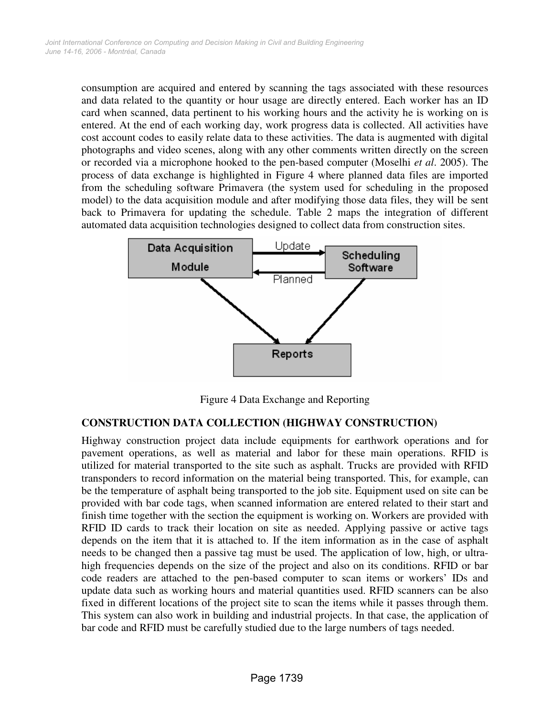consumption are acquired and entered by scanning the tags associated with these resources and data related to the quantity or hour usage are directly entered. Each worker has an ID card when scanned, data pertinent to his working hours and the activity he is working on is entered. At the end of each working day, work progress data is collected. All activities have cost account codes to easily relate data to these activities. The data is augmented with digital photographs and video scenes, along with any other comments written directly on the screen or recorded via a microphone hooked to the pen-based computer (Moselhi *et al*. 2005). The process of data exchange is highlighted in Figure 4 where planned data files are imported from the scheduling software Primavera (the system used for scheduling in the proposed model) to the data acquisition module and after modifying those data files, they will be sent back to Primavera for updating the schedule. Table 2 maps the integration of different automated data acquisition technologies designed to collect data from construction sites.



Figure 4 Data Exchange and Reporting

#### **CONSTRUCTION DATA COLLECTION (HIGHWAY CONSTRUCTION)**

Highway construction project data include equipments for earthwork operations and for pavement operations, as well as material and labor for these main operations. RFID is utilized for material transported to the site such as asphalt. Trucks are provided with RFID transponders to record information on the material being transported. This, for example, can be the temperature of asphalt being transported to the job site. Equipment used on site can be provided with bar code tags, when scanned information are entered related to their start and finish time together with the section the equipment is working on. Workers are provided with RFID ID cards to track their location on site as needed. Applying passive or active tags depends on the item that it is attached to. If the item information as in the case of asphalt needs to be changed then a passive tag must be used. The application of low, high, or ultrahigh frequencies depends on the size of the project and also on its conditions. RFID or bar code readers are attached to the pen-based computer to scan items or workers' IDs and update data such as working hours and material quantities used. RFID scanners can be also fixed in different locations of the project site to scan the items while it passes through them. This system can also work in building and industrial projects. In that case, the application of bar code and RFID must be carefully studied due to the large numbers of tags needed.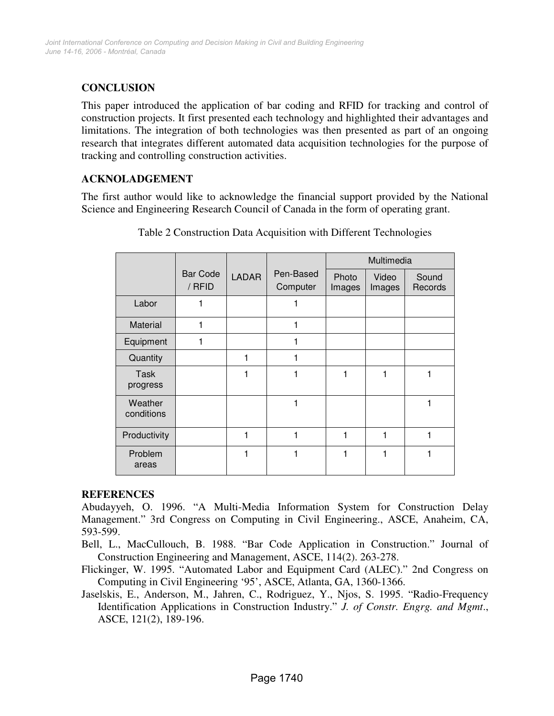# **CONCLUSION**

This paper introduced the application of bar coding and RFID for tracking and control of construction projects. It first presented each technology and highlighted their advantages and limitations. The integration of both technologies was then presented as part of an ongoing research that integrates different automated data acquisition technologies for the purpose of tracking and controlling construction activities.

# **ACKNOLADGEMENT**

The first author would like to acknowledge the financial support provided by the National Science and Engineering Research Council of Canada in the form of operating grant.

|                         |                           |              |                       | Multimedia      |                 |                  |
|-------------------------|---------------------------|--------------|-----------------------|-----------------|-----------------|------------------|
|                         | <b>Bar Code</b><br>/ RFID | <b>LADAR</b> | Pen-Based<br>Computer | Photo<br>Images | Video<br>Images | Sound<br>Records |
| Labor                   | 1                         |              |                       |                 |                 |                  |
| Material                | 1                         |              | 1                     |                 |                 |                  |
| Equipment               | 1                         |              | 1                     |                 |                 |                  |
| Quantity                |                           | 1            |                       |                 |                 |                  |
| <b>Task</b><br>progress |                           | 1            |                       | 1               |                 |                  |
| Weather<br>conditions   |                           |              |                       |                 |                 |                  |
| Productivity            |                           | 1            | 1                     | 1               | 1               | 1                |
| Problem<br>areas        |                           | 1            |                       | 1               |                 |                  |

| Table 2 Construction Data Acquisition with Different Technologies |  |  |  |
|-------------------------------------------------------------------|--|--|--|
|-------------------------------------------------------------------|--|--|--|

#### **REFERENCES**

Abudayyeh, O. 1996. "A Multi-Media Information System for Construction Delay Management." 3rd Congress on Computing in Civil Engineering., ASCE, Anaheim, CA, 593-599.

Bell, L., MacCullouch, B. 1988. "Bar Code Application in Construction." Journal of Construction Engineering and Management, ASCE, 114(2). 263-278.

Flickinger, W. 1995. "Automated Labor and Equipment Card (ALEC)." 2nd Congress on Computing in Civil Engineering '95', ASCE, Atlanta, GA, 1360-1366.

Jaselskis, E., Anderson, M., Jahren, C., Rodriguez, Y., Njos, S. 1995. "Radio-Frequency Identification Applications in Construction Industry." *J. of Constr. Engrg. and Mgmt*., ASCE, 121(2), 189-196.